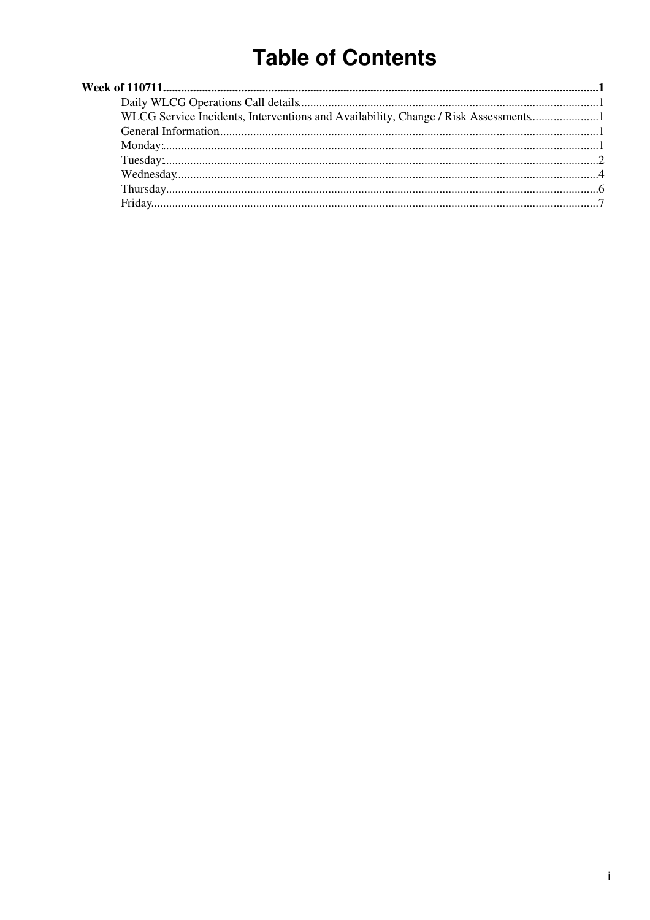# **Table of Contents**

| WLCG Service Incidents, Interventions and Availability, Change / Risk Assessments1 |  |
|------------------------------------------------------------------------------------|--|
|                                                                                    |  |
|                                                                                    |  |
|                                                                                    |  |
|                                                                                    |  |
|                                                                                    |  |
|                                                                                    |  |
|                                                                                    |  |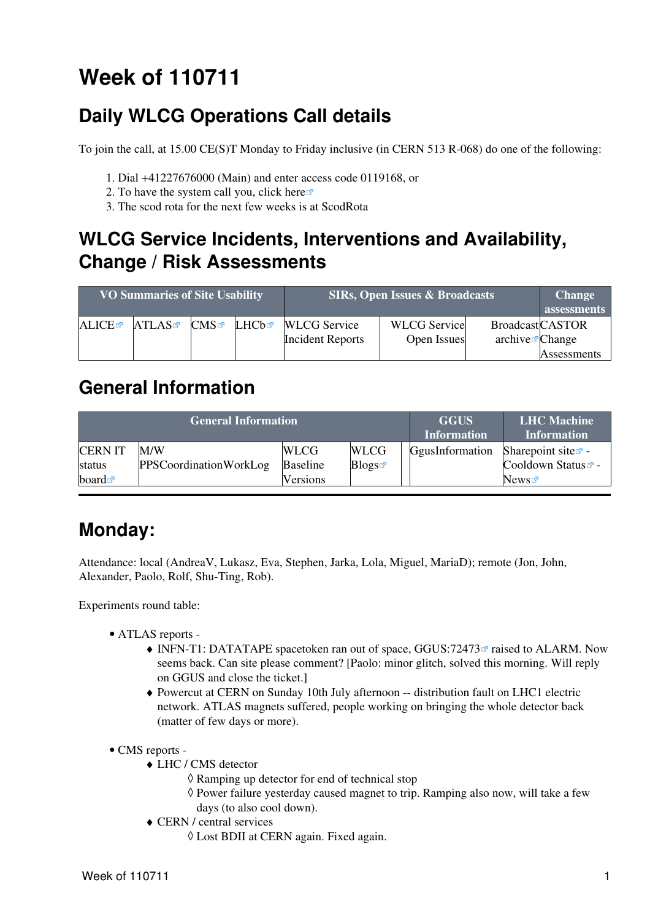# <span id="page-1-0"></span>**Week of 110711**

# <span id="page-1-1"></span>**Daily WLCG Operations Call details**

To join the call, at 15.00 CE(S)T Monday to Friday inclusive (in CERN 513 R-068) do one of the following:

- 1. Dial +41227676000 (Main) and enter access code 0119168, or
- 2. To have the system call you, click [here](https://audioconf.cern.ch/call/0119168) $\Phi$
- 3. The scod rota for the next few weeks is at [ScodRota](https://twiki.cern.ch/twiki/bin/view/LCG/ScodRota)

### <span id="page-1-2"></span>**WLCG Service Incidents, Interventions and Availability, Change / Risk Assessments**

| <b>VO Summaries of Site Usability</b> |       |              | <b>SIRs, Open Issues &amp; Broadcasts</b> | <b>Change</b><br>assessments                   |                                    |                                                       |             |
|---------------------------------------|-------|--------------|-------------------------------------------|------------------------------------------------|------------------------------------|-------------------------------------------------------|-------------|
| <b>ALICE</b>                          | ATLAS | $\text{CMS}$ | ∐HCbr                                     | <b>WLCG</b> Service<br><b>Incident Reports</b> | <b>WLCG</b> Service<br>Open Issues | <b>BroadcastCASTOR</b><br>$\archive\mathbf{z}$ Change |             |
|                                       |       |              |                                           |                                                |                                    |                                                       | Assessments |

### <span id="page-1-3"></span>**General Information**

|                      | <b>General Information</b> | <b>GGUS</b><br><b>Information</b> | <b>LHC</b> Machine<br><b>Information</b> |                 |                                |
|----------------------|----------------------------|-----------------------------------|------------------------------------------|-----------------|--------------------------------|
| <b>CERN IT</b>       | M/W                        | WLCG                              | <b>WLCG</b>                              | GgusInformation | Sharepoint site $\mathbb{Z}$ - |
| status               | PPSCoordinationWorkLog     | <b>Baseline</b>                   | Blogs                                    |                 | Cooldown Status <sup>®</sup> - |
| board $\blacksquare$ |                            | Versions                          |                                          |                 | News                           |

## <span id="page-1-4"></span>**Monday:**

Attendance: local (AndreaV, Lukasz, Eva, Stephen, Jarka, Lola, Miguel, MariaD); remote (Jon, John, Alexander, Paolo, Rolf, Shu-Ting, Rob).

Experiments round table:

- ATLAS [reports](https://twiki.cern.ch/twiki/bin/view/Atlas/ADCOperationsDailyReports)  •
	- INFN-T1: DATATAPE spacetoken ran out of space, [GGUS:72473](https://ggus.eu/ws/ticket_info.php?ticket=72473)<sup>®</sup> raised to ALARM. Now seems back. Can site please comment? [Paolo: minor glitch, solved this morning. Will reply on GGUS and close the ticket.]
	- Powercut at CERN on Sunday 10th July afternoon -- distribution fault on LHC1 electric ♦ network. ATLAS magnets suffered, people working on bringing the whole detector back (matter of few days or more).
- CMS [reports](https://twiki.cern.ch/twiki/bin/view/CMS/FacOps_WLCGdailyreports) -
	- LHC / CMS detector ♦
		- ◊ Ramping up detector for end of technical stop
		- Power failure yesterday caused magnet to trip. Ramping also now, will take a few ◊ days (to also cool down).
	- CERN / central services ♦
		- ◊ Lost BDII at CERN again. Fixed again.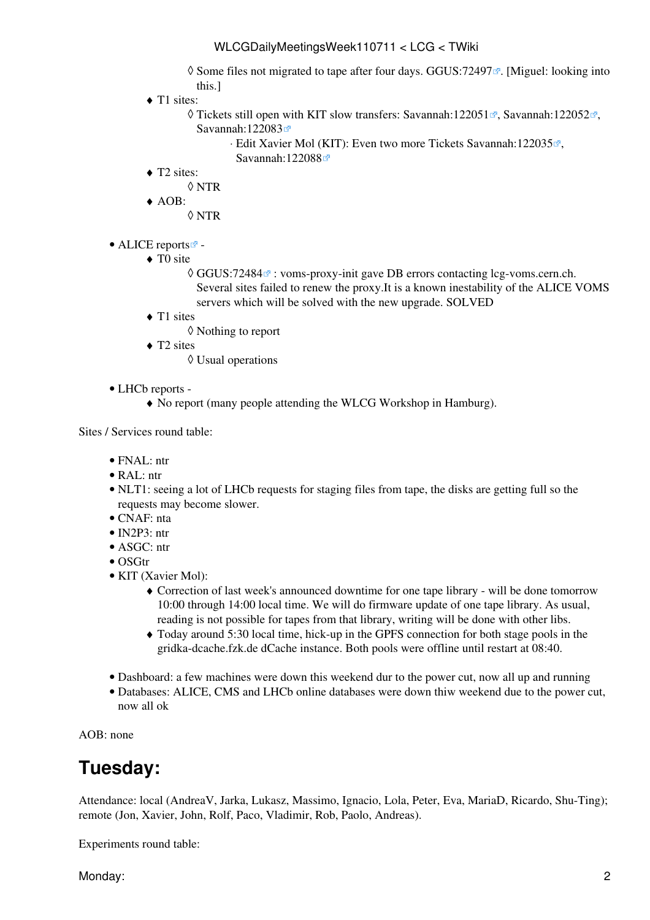◊ Some files not migrated to tape after four days. [GGUS:72497](https://ggus.eu/ws/ticket_info.php?ticket=72497) <sup>®</sup>. [Miguel: looking into this.]

- ◆ T1 sites:
	- ♦ Tickets still open with KIT slow transfers: [Savannah:122051](https://savannah.cern.ch/support/?122051) ब, [Savannah:122052](https://savannah.cern.ch/support/?122052) ब, [Savannah:122083](https://savannah.cern.ch/support/?122083) <del>ø</del>
		- ⋅ Edit Xavier Mol (KIT): Even two more Tickets [Savannah:122035](https://savannah.cern.ch/support/?122035) ₹, [Savannah:122088](https://savannah.cern.ch/support/?122088)
- ◆ T2 sites:
	- ◊ NTR
- AOB: ♦

◊ NTR

- ALICE [reports](http://alien2.cern.ch/index.php?option=com_content&view=article&id=75&Itemid=129)<sup>2</sup>
	- ◆ TO site
		- © [GGUS:72484](https://ggus.eu/ws/ticket_info.php?ticket=72484) <sup>2</sup> : voms-proxy-init gave DB errors contacting lcg-voms.cern.ch. Several sites failed to renew the proxy.It is a known inestability of the ALICE [VOMS](https://twiki.cern.ch/twiki/bin/view/LCG/VOMS) servers which will be solved with the new upgrade. SOLVED
	- ◆ T1 sites
		- ◊ Nothing to report
	- ◆ T2 sites
		- ◊ Usual operations
- LHCb [reports](https://twiki.cern.ch/twiki/bin/view/LHCb/ProductionOperationsWLCGdailyReports) -
	- ♦ No report (many people attending the WLCG Workshop in Hamburg).

Sites / Services round table:

- FNAL: ntr
- [RAL](https://twiki.cern.ch/twiki/bin/view/LCG/RAL): ntr
- NLT1: seeing a lot of LHCb requests for staging files from tape, the disks are getting full so the requests may become slower.
- CNAF: nta
- [IN2P3:](https://twiki.cern.ch/twiki/bin/view/LCG/IN2P3) ntr
- ASGC: ntr
- OSGtr
- KIT (Xavier Mol):
	- Correction of last week's announced downtime for one tape library will be done tomorrow ♦ 10:00 through 14:00 local time. We will do firmware update of one tape library. As usual, reading is not possible for tapes from that library, writing will be done with other libs.
	- Today around 5:30 local time, hick-up in the GPFS connection for both stage pools in the ♦ gridka-dcache.fzk.de dCache instance. Both pools were offline until restart at 08:40.
- Dashboard: a few machines were down this weekend dur to the power cut, now all up and running
- Databases: ALICE, CMS and LHCb online databases were down thiw weekend due to the power cut, now all ok

AOB: none

### <span id="page-2-0"></span>**Tuesday:**

Attendance: local (AndreaV, Jarka, Lukasz, Massimo, Ignacio, Lola, Peter, Eva, MariaD, Ricardo, Shu-Ting); remote (Jon, Xavier, John, Rolf, Paco, Vladimir, Rob, Paolo, Andreas).

Experiments round table:

Monday: 2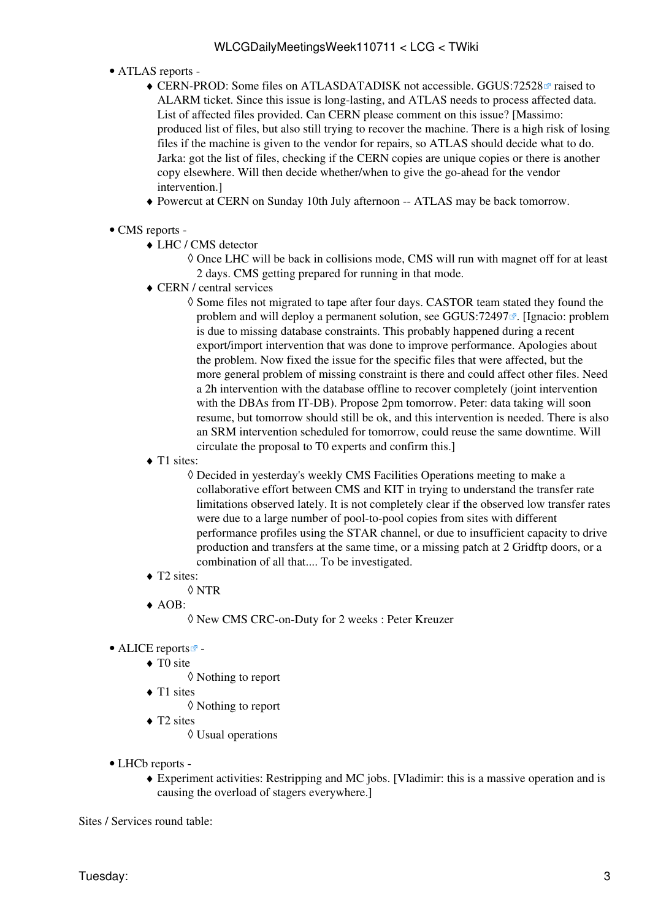- ATLAS [reports](https://twiki.cern.ch/twiki/bin/view/Atlas/ADCOperationsDailyReports)  •
	- CERN-PROD: Some files on ATLASDATADISK not accessible. GGUS:72528<sup>®</sup> raised to ALARM ticket. Since this issue is long-lasting, and ATLAS needs to process affected data. List of affected files provided. Can CERN please comment on this issue? [Massimo: produced list of files, but also still trying to recover the machine. There is a high risk of losing files if the machine is given to the vendor for repairs, so ATLAS should decide what to do. Jarka: got the list of files, checking if the CERN copies are unique copies or there is another copy elsewhere. Will then decide whether/when to give the go-ahead for the vendor intervention.]
	- ♦ Powercut at CERN on Sunday 10th July afternoon -- ATLAS may be back tomorrow.
- CMS [reports](https://twiki.cern.ch/twiki/bin/view/CMS/FacOps_WLCGdailyreports) -
	- LHC / CMS detector ♦
		- Once LHC will be back in collisions mode, CMS will run with magnet off for at least ◊ 2 days. CMS getting prepared for running in that mode.
	- CERN / central services ♦
		- ◊ Some files not migrated to tape after four days. CASTOR team stated they found the problem and will deploy a permanent solution, see [GGUS:72497](https://ggus.eu/ws/ticket_info.php?ticket=72497) $\mathbb{Z}$ . [Ignacio: problem is due to missing database constraints. This probably happened during a recent export/import intervention that was done to improve performance. Apologies about the problem. Now fixed the issue for the specific files that were affected, but the more general problem of missing constraint is there and could affect other files. Need a 2h intervention with the database offline to recover completely (joint intervention with the DBAs from IT-DB). Propose 2pm tomorrow. Peter: data taking will soon resume, but tomorrow should still be ok, and this intervention is needed. There is also an SRM intervention scheduled for tomorrow, could reuse the same downtime. Will circulate the proposal to T0 experts and confirm this.]
	- ◆ T1 sites:

Decided in yesterday's weekly CMS Facilities Operations meeting to make a ◊ collaborative effort between CMS and KIT in trying to understand the transfer rate limitations observed lately. It is not completely clear if the observed low transfer rates were due to a large number of pool-to-pool copies from sites with different performance profiles using the STAR channel, or due to insufficient capacity to drive production and transfers at the same time, or a missing patch at 2 Gridftp doors, or a combination of all that.... To be investigated.

- ◆ T2 sites:
	- ◊ NTR
- AOB: ♦

◊ New CMS CRC-on-Duty for 2 weeks : Peter Kreuzer

- ALICE [reports](http://alien2.cern.ch/index.php?option=com_content&view=article&id=75&Itemid=129)
	- ◆ TO site
		- ◊ Nothing to report
	- ◆ T1 sites
		- ◊ Nothing to report
	- ◆ T2 sites
		- ◊ Usual operations
- LHCb [reports](https://twiki.cern.ch/twiki/bin/view/LHCb/ProductionOperationsWLCGdailyReports) -
	- Experiment activities: Restripping and MC jobs. [Vladimir: this is a massive operation and is ♦ causing the overload of stagers everywhere.]

Sites / Services round table: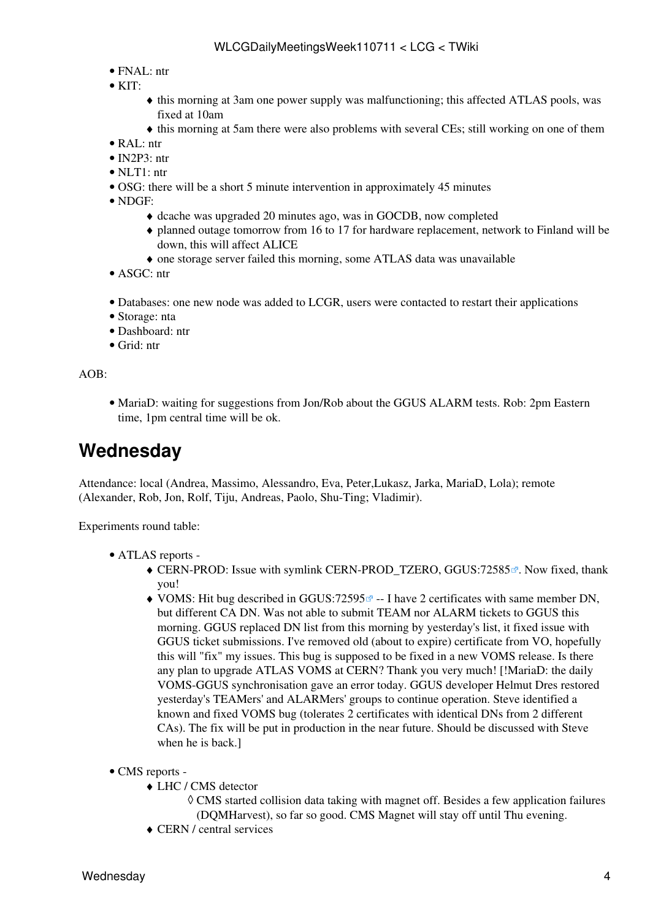- FNAL: ntr
- $\bullet$  KIT:
- this morning at 3am one power supply was malfunctioning; this affected ATLAS pools, was ♦ fixed at 10am
- ♦ this morning at 5am there were also problems with several CEs; still working on one of them
- [RAL](https://twiki.cern.ch/twiki/bin/view/LCG/RAL): ntr
- [IN2P3:](https://twiki.cern.ch/twiki/bin/view/LCG/IN2P3) ntr
- NLT1: ntr
- OSG: there will be a short 5 minute intervention in approximately 45 minutes
- NDGF:
	- ♦ dcache was upgraded 20 minutes ago, was in GOCDB, now completed
	- planned outage tomorrow from 16 to 17 for hardware replacement, network to Finland will be ♦ down, this will affect ALICE
	- ♦ one storage server failed this morning, some ATLAS data was unavailable
- ASGC: ntr
- Databases: one new node was added to LCGR, users were contacted to restart their applications
- Storage: nta
- Dashboard: ntr
- Grid: ntr

AOB:

MariaD: waiting for suggestions from Jon/Rob about the GGUS ALARM tests. Rob: 2pm Eastern • time, 1pm central time will be ok.

### <span id="page-4-0"></span>**Wednesday**

Attendance: local (Andrea, Massimo, Alessandro, Eva, Peter,Lukasz, Jarka, MariaD, Lola); remote (Alexander, Rob, Jon, Rolf, Tiju, Andreas, Paolo, Shu-Ting; Vladimir).

Experiments round table:

- ATLAS [reports](https://twiki.cern.ch/twiki/bin/view/Atlas/ADCOperationsDailyReports)  •
	- $\blacklozenge$  CERN-PROD: Issue with symlink CERN-PROD\_TZERO, [GGUS:72585](https://ggus.eu/ws/ticket_info.php?ticket=72585)<sup>®</sup>. Now fixed, thank you!
	- ◆ [VOMS:](https://twiki.cern.ch/twiki/bin/view/LCG/VOMS) Hit bug described in [GGUS:72595](https://ggus.org/ws/ticket_info.php?ticket=72595) <sup>a</sup> -- I have 2 certificates with same member DN, but different CA DN. Was not able to submit TEAM nor ALARM tickets to GGUS this morning. GGUS replaced DN list from this morning by yesterday's list, it fixed issue with GGUS ticket submissions. I've removed old (about to expire) certificate from VO, hopefully this will "fix" my issues. This bug is supposed to be fixed in a new [VOMS](https://twiki.cern.ch/twiki/bin/view/LCG/VOMS) release. Is there any plan to upgrade ATLAS [VOMS](https://twiki.cern.ch/twiki/bin/view/LCG/VOMS) at CERN? Thank you very much! [!MariaD: the daily [VOMS-](https://twiki.cern.ch/twiki/bin/view/LCG/VOMS)GGUS synchronisation gave an error today. GGUS developer Helmut Dres restored yesterday's TEAMers' and ALARMers' groups to continue operation. Steve identified a known and fixed [VOMS](https://twiki.cern.ch/twiki/bin/view/LCG/VOMS) bug (tolerates 2 certificates with identical DNs from 2 different CAs). The fix will be put in production in the near future. Should be discussed with Steve when he is back.]
- CMS [reports](https://twiki.cern.ch/twiki/bin/view/CMS/FacOps_WLCGdailyreports) -
	- LHC / CMS detector ♦
		- CMS started collision data taking with magnet off. Besides a few application failures ◊ (DQMHarvest), so far so good. CMS Magnet will stay off until Thu evening.
	- ♦ CERN / central services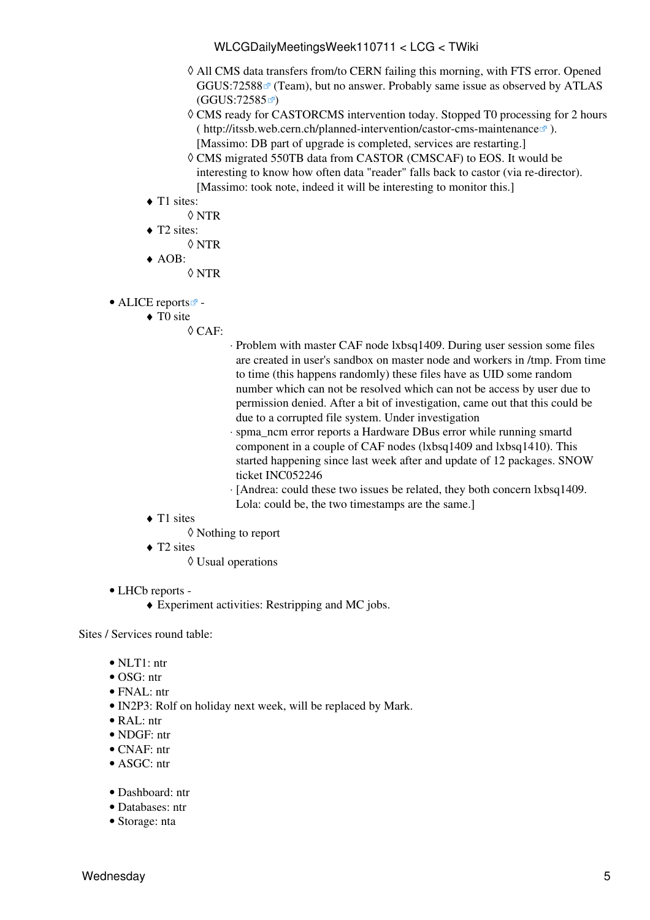- All CMS data transfers from/to CERN failing this morning, with FTS error. Opened ◊  $GGUS:72588 \approx$  $GGUS:72588 \approx$  (Team), but no answer. Probably same issue as observed by ATLAS  $(GGUS:72585 \n\mathbb{Z})$  $(GGUS:72585 \n\mathbb{Z})$  $(GGUS:72585 \n\mathbb{Z})$
- CMS ready for CASTORCMS intervention today. Stopped T0 processing for 2 hours ◊ (<http://itssb.web.cern.ch/planned-intervention/castor-cms-maintenance>). [Massimo: DB part of upgrade is completed, services are restarting.]
- CMS migrated 550TB data from CASTOR (CMSCAF) to EOS. It would be ◊ interesting to know how often data "reader" falls back to castor (via re-director). [Massimo: took note, indeed it will be interesting to monitor this.]
- ◆ T1 sites:
	- ◊ NTR
- ◆ T2 sites:
	- ◊ NTR
- AOB: ♦ ◊ NTR
- ALICE [reports](http://alien2.cern.ch/index.php?option=com_content&view=article&id=75&Itemid=129)
	- ◆ TO site
		- CAF: ◊
- Problem with master CAF node lxbsq1409. During user session some files ⋅ are created in user's sandbox on master node and workers in /tmp. From time to time (this happens randomly) these files have as UID some random number which can not be resolved which can not be access by user due to permission denied. After a bit of investigation, came out that this could be due to a corrupted file system. Under investigation
- spma\_ncm error reports a Hardware DBus error while running smartd ⋅ component in a couple of CAF nodes (lxbsq1409 and lxbsq1410). This started happening since last week after and update of 12 packages. SNOW ticket INC052246
- [Andrea: could these two issues be related, they both concern lxbsq1409. ⋅ Lola: could be, the two timestamps are the same.]
- ◆ T1 sites
	- ◊ Nothing to report
- ◆ T2 sites
	- ◊ Usual operations
- LHCb [reports](https://twiki.cern.ch/twiki/bin/view/LHCb/ProductionOperationsWLCGdailyReports) -
	- ♦ Experiment activities: Restripping and MC jobs.

Sites / Services round table:

- NLT1: ntr
- OSG: ntr
- FNAL: ntr
- [IN2P3:](https://twiki.cern.ch/twiki/bin/view/LCG/IN2P3) Rolf on holiday next week, will be replaced by Mark.
- [RAL](https://twiki.cern.ch/twiki/bin/view/LCG/RAL): ntr
- NDGF: ntr
- $\bullet$  CNAF $\cdot$  ntr
- ASGC: ntr
- Dashboard: ntr
- Databases: ntr
- Storage: nta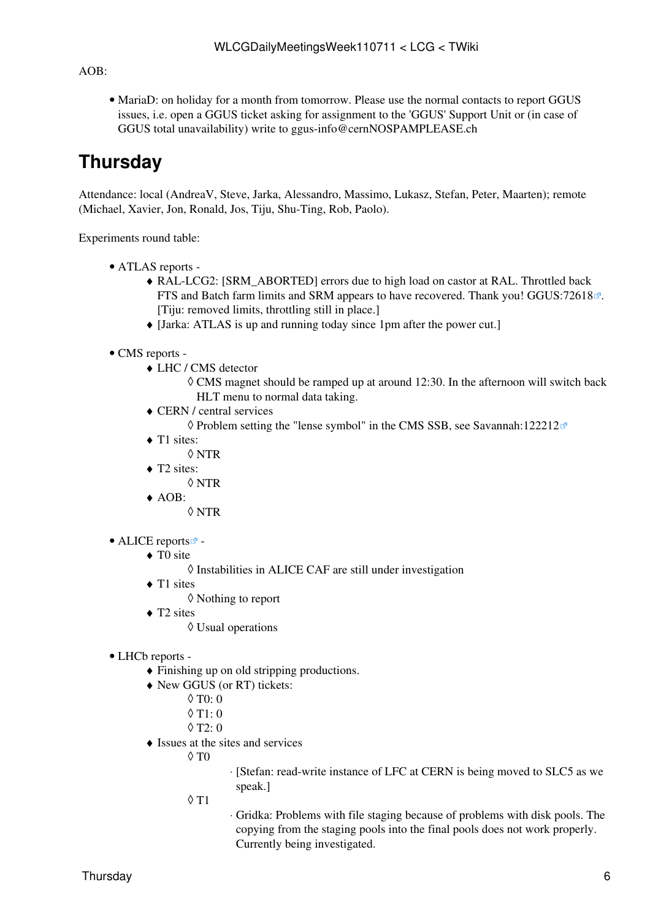$AOB<sup>2</sup>$ 

• MariaD: on holiday for a month from tomorrow. Please use the normal contacts to report GGUS issues, i.e. open a GGUS ticket asking for assignment to the 'GGUS' Support Unit or (in case of GGUS total unavailability) write to [ggus-info@cernNOSPAMPLEASE.ch](mailto:ggus-info@cernNOSPAMPLEASE.ch)

## <span id="page-6-0"></span>**Thursday**

Attendance: local (AndreaV, Steve, Jarka, Alessandro, Massimo, Lukasz, Stefan, Peter, Maarten); remote (Michael, Xavier, Jon, Ronald, Jos, Tiju, Shu-Ting, Rob, Paolo).

Experiments round table:

- ATLAS [reports](https://twiki.cern.ch/twiki/bin/view/Atlas/ADCOperationsDailyReports)  •
	- [RAL](https://twiki.cern.ch/twiki/bin/view/LCG/RAL)-LCG2: [SRM\_ABORTED] errors due to high load on castor at [RAL.](https://twiki.cern.ch/twiki/bin/view/LCG/RAL) Throttled back ♦ FTS and Batch farm limits and SRM appears to have recovered. Thank you! [GGUS:72618](https://ggus.eu/ws/ticket_info.php?ticket=72618)<sup>*a*</sup>. [Tiju: removed limits, throttling still in place.]
	- ♦ [Jarka: ATLAS is up and running today since 1pm after the power cut.]
- CMS [reports](https://twiki.cern.ch/twiki/bin/view/CMS/FacOps_WLCGdailyreports) -
	- LHC / CMS detector ♦
		- CMS magnet should be ramped up at around 12:30. In the afternoon will switch back ◊ HLT menu to normal data taking.
	- CERN / central services ♦
		- $\Diamond$  Problem setting the "lense symbol" in the CMS SSB, see [Savannah:122212](https://savannah.cern.ch/support/?122212) $\mathbb{F}$
	- ◆ T1 sites:
		- ◊ NTR
	- ◆ T2 sites:
		- ◊ NTR
	- AOB: ♦ ◊ NTR
- ALICE [reports](http://alien2.cern.ch/index.php?option=com_content&view=article&id=75&Itemid=129)<sup>2</sup>
	- ◆ TO site
		- ◊ Instabilities in ALICE CAF are still under investigation
	- ◆ T1 sites
		- ◊ Nothing to report
	- ◆ T2 sites
		- ◊ Usual operations
- LHCb [reports](https://twiki.cern.ch/twiki/bin/view/LHCb/ProductionOperationsWLCGdailyReports) -
	- ♦ Finishing up on old stripping productions.
	- New GGUS (or RT) tickets: ♦
		- ◊ T0: 0
		- $\lozenge$  T<sub>1</sub>: 0
		- $\Diamond$  T<sub>2</sub> $\cdot$  0
	- Issues at the sites and services ♦
		- $\Diamond$  T $0$
- ⋅ [Stefan: read-write instance of LFC at CERN is being moved to SLC5 as we speak.]
- T1 ◊
- Gridka: Problems with file staging because of problems with disk pools. The ⋅ copying from the staging pools into the final pools does not work properly. Currently being investigated.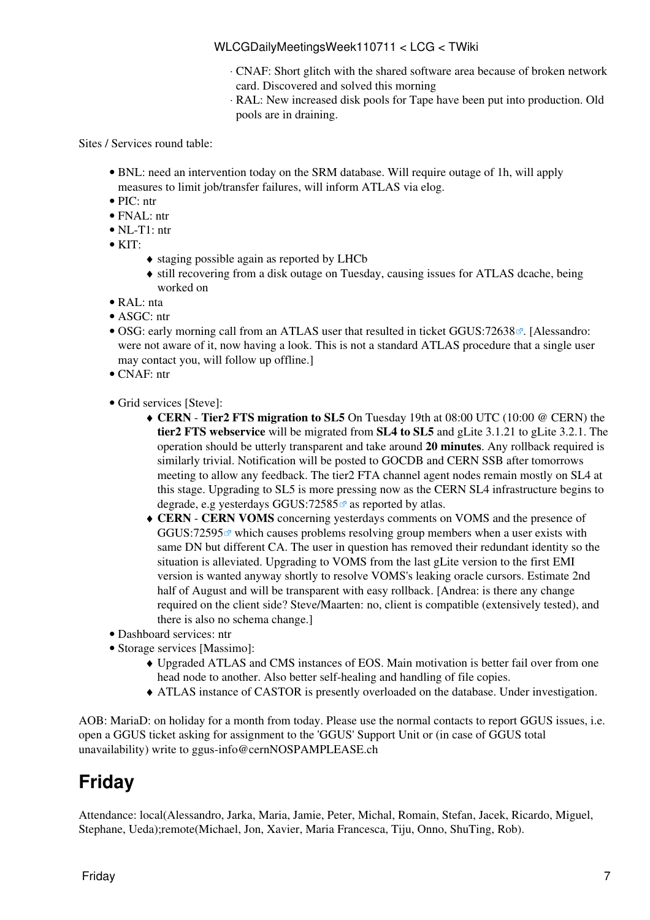- CNAF: Short glitch with the shared software area because of broken network ⋅ card. Discovered and solved this morning
- [RAL](https://twiki.cern.ch/twiki/bin/view/LCG/RAL): New increased disk pools for Tape have been put into production. Old ⋅ pools are in draining.

Sites / Services round table:

- BNL: need an intervention today on the SRM database. Will require outage of 1h, will apply measures to limit job/transfer failures, will inform ATLAS via elog.
- PIC: ntr
- FNAL: ntr
- NL-T1: ntr
- KIT:
	- ♦ staging possible again as reported by LHCb
	- still recovering from a disk outage on Tuesday, causing issues for ATLAS dcache, being ♦ worked on
- [RAL](https://twiki.cern.ch/twiki/bin/view/LCG/RAL): nta
- ASGC: ntr
- OSG: early morning call from an ATLAS user that resulted in ticket [GGUS:72638](https://ggus.eu/ws/ticket_info.php?ticket=72638)<sup>®</sup>. [Alessandro: were not aware of it, now having a look. This is not a standard ATLAS procedure that a single user may contact you, will follow up offline.]
- CNAF: ntr
- Grid services [Steve]:
	- **CERN** - **Tier2 FTS migration to SL5** On Tuesday 19th at 08:00 UTC (10:00 @ CERN) the ♦ **tier2 FTS webservice** will be migrated from **SL4 to SL5** and gLite 3.1.21 to gLite 3.2.1. The operation should be utterly transparent and take around **20 minutes**. Any rollback required is similarly trivial. Notification will be posted to GOCDB and CERN SSB after tomorrows meeting to allow any feedback. The tier2 FTA channel agent nodes remain mostly on SL4 at this stage. Upgrading to SL5 is more pressing now as the CERN SL4 infrastructure begins to degrade, e.g yesterdays [GGUS:72585](https://ggus.eu/ws/ticket_info.php?ticket=72585) $\Phi$  as reported by atlas.
	- **CERN** - **CERN [VOMS](https://twiki.cern.ch/twiki/bin/view/LCG/VOMS)** concerning yesterdays comments on [VOMS](https://twiki.cern.ch/twiki/bin/view/LCG/VOMS) and the presence of ♦ GGUS:72595 $\sigma$  which causes problems resolving group members when a user exists with same DN but different CA. The user in question has removed their redundant identity so the situation is alleviated. Upgrading to [VOMS](https://twiki.cern.ch/twiki/bin/view/LCG/VOMS) from the last gLite version to the first EMI version is wanted anyway shortly to resolve [VOMS](https://twiki.cern.ch/twiki/bin/view/LCG/VOMS)'s leaking oracle cursors. Estimate 2nd half of August and will be transparent with easy rollback. [Andrea: is there any change required on the client side? Steve/Maarten: no, client is compatible (extensively tested), and there is also no schema change.]
- Dashboard services: ntr
- Storage services [Massimo]:
	- Upgraded ATLAS and CMS instances of EOS. Main motivation is better fail over from one ♦ head node to another. Also better self-healing and handling of file copies.
	- ♦ ATLAS instance of CASTOR is presently overloaded on the database. Under investigation.

AOB: MariaD: on holiday for a month from today. Please use the normal contacts to report GGUS issues, i.e. open a GGUS ticket asking for assignment to the 'GGUS' Support Unit or (in case of GGUS total unavailability) write to [ggus-info@cernNOSPAMPLEASE.ch](mailto:ggus-info@cernNOSPAMPLEASE.ch)

# <span id="page-7-0"></span>**Friday**

Attendance: local(Alessandro, Jarka, Maria, Jamie, Peter, Michal, Romain, Stefan, Jacek, Ricardo, Miguel, Stephane, Ueda);remote(Michael, Jon, Xavier, Maria Francesca, Tiju, Onno, [ShuTing,](https://twiki.cern.ch/twiki/bin/edit/LCG/ShuTing?topicparent=LCG.WLCGDailyMeetingsWeek110711;nowysiwyg=1) Rob).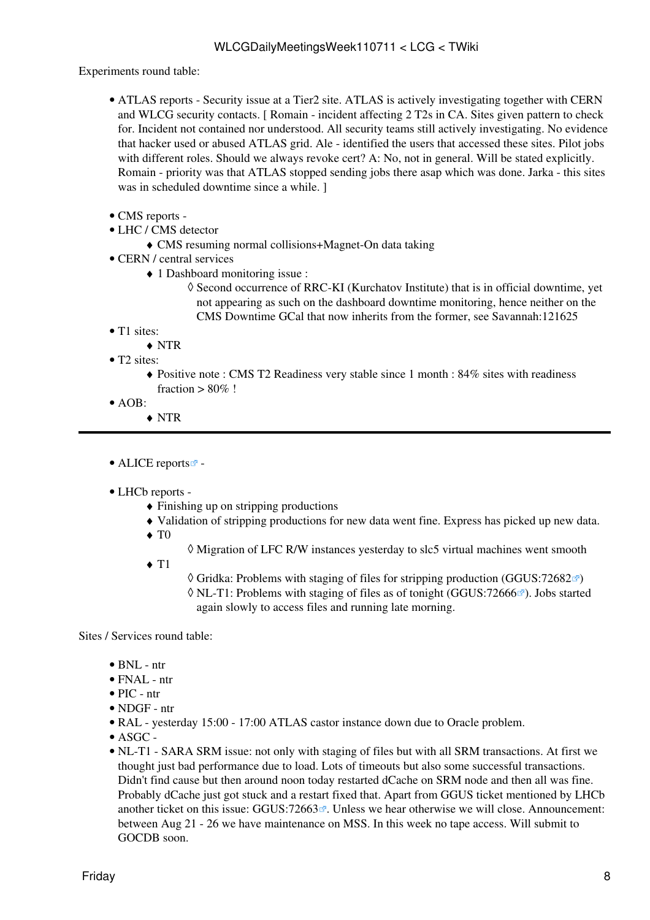Experiments round table:

- ATLAS [reports](https://twiki.cern.ch/twiki/bin/view/Atlas/ADCOperationsDailyReports)  Security issue at a Tier2 site. ATLAS is actively investigating together with CERN and WLCG security contacts. [ Romain - incident affecting 2 T2s in CA. Sites given pattern to check for. Incident not contained nor understood. All security teams still actively investigating. No evidence that hacker used or abused ATLAS grid. Ale - identified the users that accessed these sites. Pilot jobs with different roles. Should we always revoke cert? A: No, not in general. Will be stated explicitly. Romain - priority was that ATLAS stopped sending jobs there asap which was done. Jarka - this sites was in scheduled downtime since a while. 1
- CMS [reports](https://twiki.cern.ch/twiki/bin/view/CMS/FacOps_WLCGdailyreports) -
- LHC / CMS detector
	- ♦ CMS resuming normal collisions+Magnet-On data taking
- CERN / central services
	- 1 Dashboard monitoring issue : ♦
		- ◊ Second occurrence of RRC-KI (Kurchatov Institute) that is in official downtime, yet not appearing as such on the dashboard downtime monitoring, hence neither on the CMS Downtime GCal that now inherits from the former, see [Savannah:121625](https://savannah.cern.ch/support/?121625)
- T1 sites:
	- ♦ NTR
- T<sub>2</sub> sites:
	- Positive note : CMS T2 Readiness very stable since 1 month : 84% sites with readiness ♦ fraction  $> 80\%$ !
- AOB:
	- ♦ NTR

• ALICE [reports](http://alien2.cern.ch/index.php?option=com_content&view=article&id=75&Itemid=129) $\vec{r}$  -

#### LHCb [reports](https://twiki.cern.ch/twiki/bin/view/LHCb/ProductionOperationsWLCGdailyReports) - •

- ♦ Finishing up on stripping productions
- ♦ Validation of stripping productions for new data went fine. Express has picked up new data.
- $\blacklozenge$  T<sub>0</sub>
- ◊ Migration of LFC R/W instances yesterday to slc5 virtual machines went smooth
- $\triangleleft$  T<sub>1</sub>
- $\Diamond$  Gridka: Problems with staging of files for stripping production ([GGUS:72682](https://ggus.eu/ws/ticket_info.php?ticket=72682) $\degree$ )
- ◊ NL-T1: Problems with staging of files as of tonight [\(GGUS:72666](https://ggus.eu/ws/ticket_info.php?ticket=72666)₫). Jobs started again slowly to access files and running late morning.

Sites / Services round table:

- $\bullet$  BNL ntr
- $\bullet$  FNAL ntr
- PIC ntr
- NDGF ntr
- [RAL](https://twiki.cern.ch/twiki/bin/view/LCG/RAL)  yesterday 15:00 17:00 ATLAS castor instance down due to Oracle problem.
- $\bullet$  ASGC -
- NL-T1 SARA SRM issue: not only with staging of files but with all SRM transactions. At first we thought just bad performance due to load. Lots of timeouts but also some successful transactions. Didn't find cause but then around noon today restarted dCache on SRM node and then all was fine. Probably dCache just got stuck and a restart fixed that. Apart from GGUS ticket mentioned by LHCb another ticket on this issue:  $GGUS:72663$  . Unless we hear otherwise we will close. Announcement: between Aug 21 - 26 we have maintenance on MSS. In this week no tape access. Will submit to GOCDB soon.